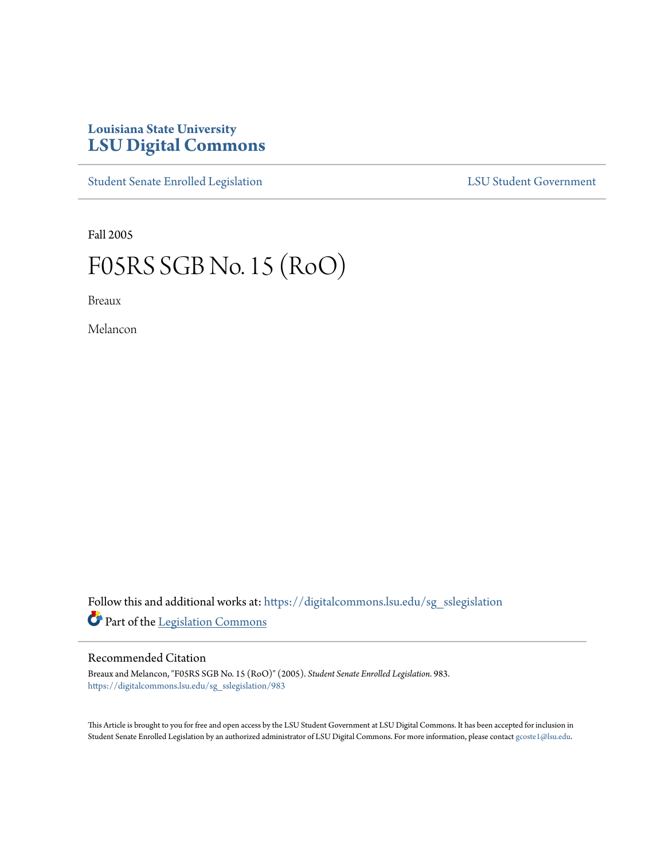## **Louisiana State University [LSU Digital Commons](https://digitalcommons.lsu.edu?utm_source=digitalcommons.lsu.edu%2Fsg_sslegislation%2F983&utm_medium=PDF&utm_campaign=PDFCoverPages)**

[Student Senate Enrolled Legislation](https://digitalcommons.lsu.edu/sg_sslegislation?utm_source=digitalcommons.lsu.edu%2Fsg_sslegislation%2F983&utm_medium=PDF&utm_campaign=PDFCoverPages) [LSU Student Government](https://digitalcommons.lsu.edu/sg?utm_source=digitalcommons.lsu.edu%2Fsg_sslegislation%2F983&utm_medium=PDF&utm_campaign=PDFCoverPages)

Fall 2005

## F05RS SGB No. 15 (RoO)

Breaux

Melancon

Follow this and additional works at: [https://digitalcommons.lsu.edu/sg\\_sslegislation](https://digitalcommons.lsu.edu/sg_sslegislation?utm_source=digitalcommons.lsu.edu%2Fsg_sslegislation%2F983&utm_medium=PDF&utm_campaign=PDFCoverPages) Part of the [Legislation Commons](http://network.bepress.com/hgg/discipline/859?utm_source=digitalcommons.lsu.edu%2Fsg_sslegislation%2F983&utm_medium=PDF&utm_campaign=PDFCoverPages)

## Recommended Citation

Breaux and Melancon, "F05RS SGB No. 15 (RoO)" (2005). *Student Senate Enrolled Legislation*. 983. [https://digitalcommons.lsu.edu/sg\\_sslegislation/983](https://digitalcommons.lsu.edu/sg_sslegislation/983?utm_source=digitalcommons.lsu.edu%2Fsg_sslegislation%2F983&utm_medium=PDF&utm_campaign=PDFCoverPages)

This Article is brought to you for free and open access by the LSU Student Government at LSU Digital Commons. It has been accepted for inclusion in Student Senate Enrolled Legislation by an authorized administrator of LSU Digital Commons. For more information, please contact [gcoste1@lsu.edu.](mailto:gcoste1@lsu.edu)